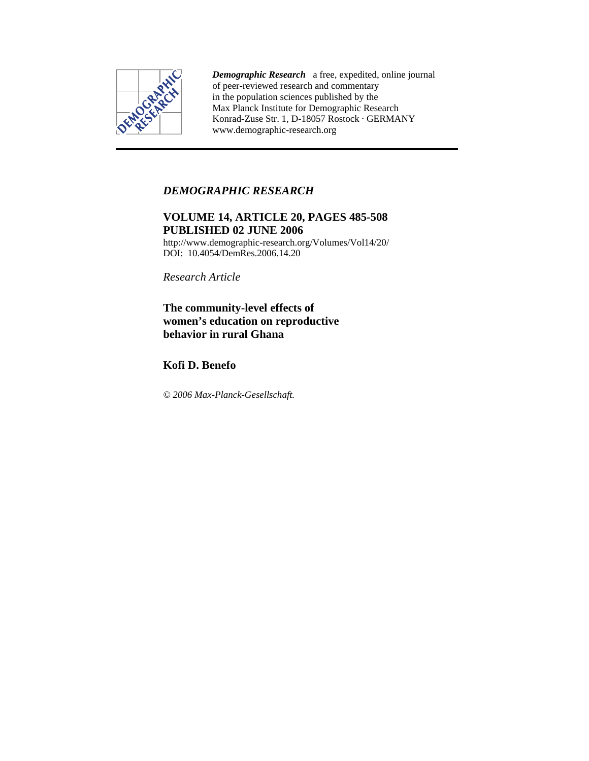

*Demographic Research* a free, expedited, online journal of peer-reviewed research and commentary in the population sciences published by the Max Planck Institute for Demographic Research Konrad-Zuse Str. 1, D-18057 Rostock · GERMANY www.demographic-research.org

## *DEMOGRAPHIC RESEARCH*

# **VOLUME 14, ARTICLE 20, PAGES 485-508 PUBLISHED 02 JUNE 2006**

http://www.demographic-research.org/Volumes/Vol14/20/ DOI: 10.4054/DemRes.2006.14.20

*Research Article* 

## **The community-level effects of women's education on reproductive behavior in rural Ghana**

**Kofi D. Benefo** 

*© 2006 Max-Planck-Gesellschaft.*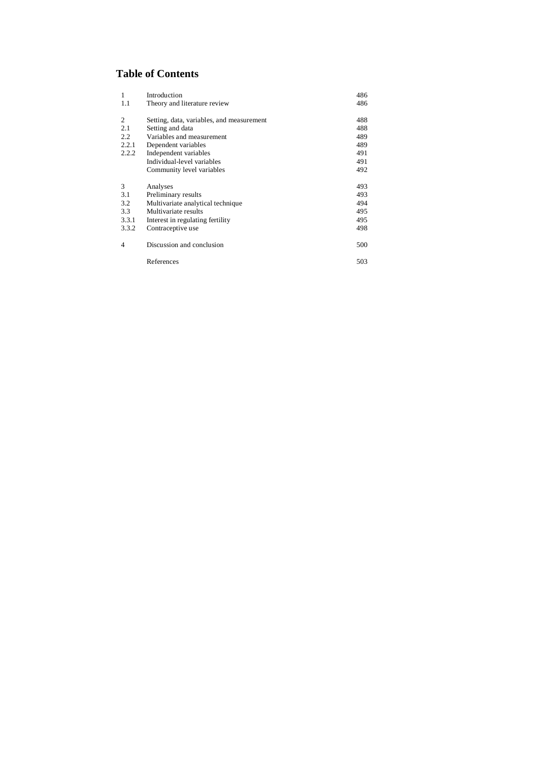# **Table of Contents**

| $\mathbf{1}$   | Introduction                              | 486 |
|----------------|-------------------------------------------|-----|
| 1.1            | Theory and literature review              | 486 |
| 2              | Setting, data, variables, and measurement | 488 |
| 2.1            | Setting and data                          | 488 |
| 2.2            | Variables and measurement                 | 489 |
| 2.2.1          | Dependent variables                       | 489 |
| 2.2.2          | Independent variables                     | 491 |
|                | Individual-level variables                | 491 |
|                | Community level variables                 | 492 |
| 3              | Analyses                                  | 493 |
| 3.1            | Preliminary results                       | 493 |
| 3.2            | Multivariate analytical technique         | 494 |
| 3.3            | Multivariate results                      | 495 |
| 3.3.1          | Interest in regulating fertility          | 495 |
| 3.3.2          | Contraceptive use                         | 498 |
| $\overline{4}$ | Discussion and conclusion                 | 500 |
|                | References                                | 503 |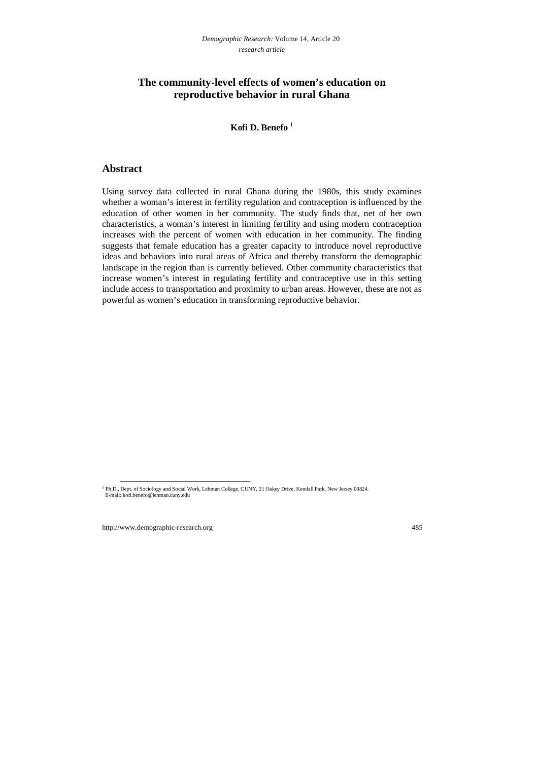## **The community-level effects of women's education on reproductive behavior in rural Ghana**

## **Kofi D. Benefo 1**

## **Abstract**

Using survey data collected in rural Ghana during the 1980s, this study examines whether a woman's interest in fertility regulation and contraception is influenced by the education of other women in her community. The study finds that, net of her own characteristics, a woman's interest in limiting fertility and using modern contraception increases with the percent of women with education in her community. The finding suggests that female education has a greater capacity to introduce novel reproductive ideas and behaviors into rural areas of Africa and thereby transform the demographic landscape in the region than is currently believed. Other community characteristics that increase women's interest in regulating fertility and contraceptive use in this setting include access to transportation and proximity to urban areas. However, these are not as powerful as women's education in transforming reproductive behavior.

<sup>&</sup>lt;sup>1</sup> Ph.D., Dept. of Sociology and Social Work, Lehman College, CUNY, 21 Oakey Drive, Kendall Park, New Jersey 08824. E-mail: kofi.benefo@lehman.cuny.edu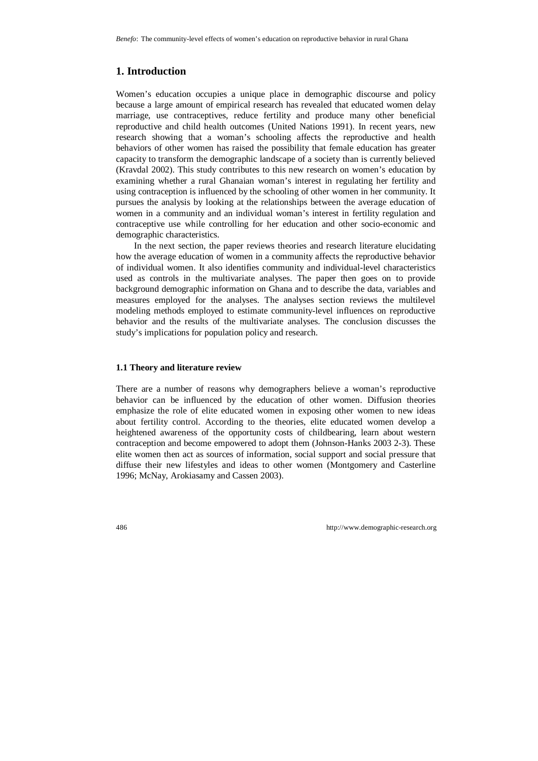# **1. Introduction**

Women's education occupies a unique place in demographic discourse and policy because a large amount of empirical research has revealed that educated women delay marriage, use contraceptives, reduce fertility and produce many other beneficial reproductive and child health outcomes (United Nations 1991). In recent years, new research showing that a woman's schooling affects the reproductive and health behaviors of other women has raised the possibility that female education has greater capacity to transform the demographic landscape of a society than is currently believed (Kravdal 2002). This study contributes to this new research on women's education by examining whether a rural Ghanaian woman's interest in regulating her fertility and using contraception is influenced by the schooling of other women in her community. It pursues the analysis by looking at the relationships between the average education of women in a community and an individual woman's interest in fertility regulation and contraceptive use while controlling for her education and other socio-economic and demographic characteristics.

In the next section, the paper reviews theories and research literature elucidating how the average education of women in a community affects the reproductive behavior of individual women. It also identifies community and individual-level characteristics used as controls in the multivariate analyses. The paper then goes on to provide background demographic information on Ghana and to describe the data, variables and measures employed for the analyses. The analyses section reviews the multilevel modeling methods employed to estimate community-level influences on reproductive behavior and the results of the multivariate analyses. The conclusion discusses the study's implications for population policy and research.

## **1.1 Theory and literature review**

There are a number of reasons why demographers believe a woman's reproductive behavior can be influenced by the education of other women. Diffusion theories emphasize the role of elite educated women in exposing other women to new ideas about fertility control. According to the theories, elite educated women develop a heightened awareness of the opportunity costs of childbearing, learn about western contraception and become empowered to adopt them (Johnson-Hanks 2003 2-3). These elite women then act as sources of information, social support and social pressure that diffuse their new lifestyles and ideas to other women (Montgomery and Casterline 1996; McNay, Arokiasamy and Cassen 2003).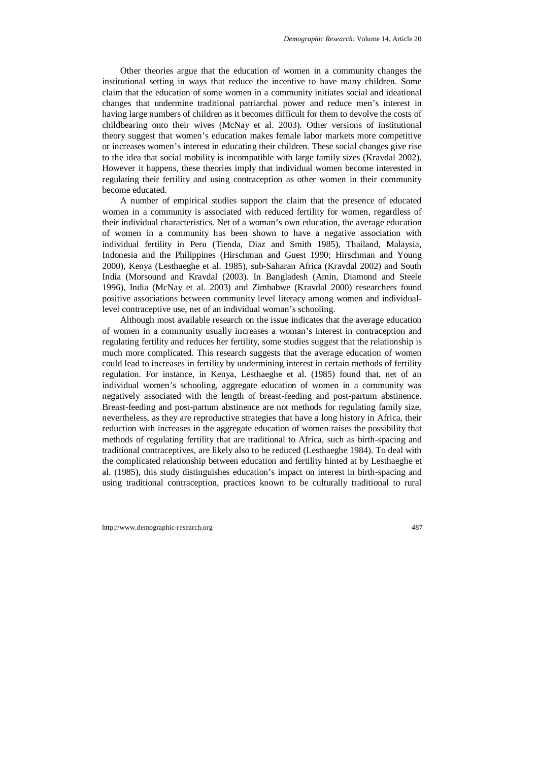Other theories argue that the education of women in a community changes the institutional setting in ways that reduce the incentive to have many children. Some claim that the education of some women in a community initiates social and ideational changes that undermine traditional patriarchal power and reduce men's interest in having large numbers of children as it becomes difficult for them to devolve the costs of childbearing onto their wives (McNay et al. 2003). Other versions of institutional theory suggest that women's education makes female labor markets more competitive or increases women's interest in educating their children. These social changes give rise to the idea that social mobility is incompatible with large family sizes (Kravdal 2002). However it happens, these theories imply that individual women become interested in regulating their fertility and using contraception as other women in their community become educated.

A number of empirical studies support the claim that the presence of educated women in a community is associated with reduced fertility for women, regardless of their individual characteristics. Net of a woman's own education, the average education of women in a community has been shown to have a negative association with individual fertility in Peru (Tienda, Diaz and Smith 1985), Thailand, Malaysia, Indonesia and the Philippines (Hirschman and Guest 1990; Hirschman and Young 2000), Kenya (Lesthaeghe et al. 1985), sub-Saharan Africa (Kravdal 2002) and South India (Morsound and Kravdal (2003). In Bangladesh (Amin, Diamond and Steele 1996), India (McNay et al. 2003) and Zimbabwe (Kravdal 2000) researchers found positive associations between community level literacy among women and individuallevel contraceptive use, net of an individual woman's schooling.

Although most available research on the issue indicates that the average education of women in a community usually increases a woman's interest in contraception and regulating fertility and reduces her fertility, some studies suggest that the relationship is much more complicated. This research suggests that the average education of women could lead to increases in fertility by undermining interest in certain methods of fertility regulation. For instance, in Kenya, Lesthaeghe et al. (1985) found that, net of an individual women's schooling, aggregate education of women in a community was negatively associated with the length of breast-feeding and post-partum abstinence. Breast-feeding and post-partum abstinence are not methods for regulating family size, nevertheless, as they are reproductive strategies that have a long history in Africa, their reduction with increases in the aggregate education of women raises the possibility that methods of regulating fertility that are traditional to Africa, such as birth-spacing and traditional contraceptives, are likely also to be reduced (Lesthaeghe 1984). To deal with the complicated relationship between education and fertility hinted at by Lesthaeghe et al. (1985), this study distinguishes education's impact on interest in birth-spacing and using traditional contraception, practices known to be culturally traditional to rural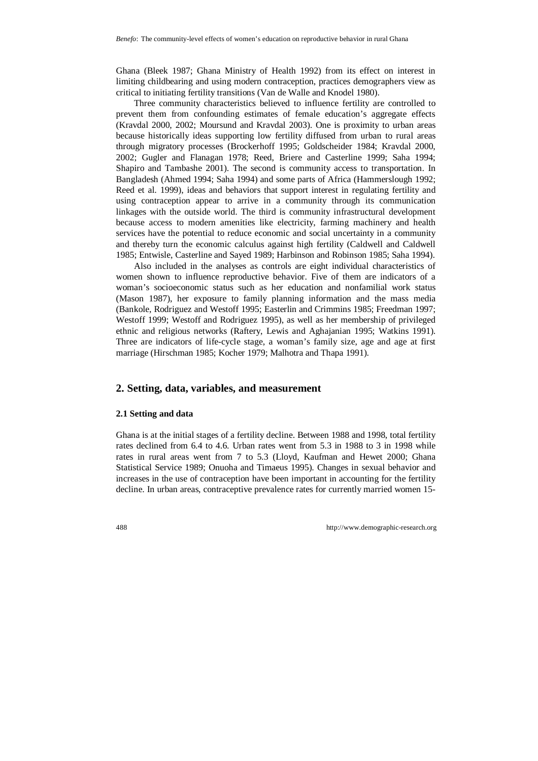Ghana (Bleek 1987; Ghana Ministry of Health 1992) from its effect on interest in limiting childbearing and using modern contraception, practices demographers view as critical to initiating fertility transitions (Van de Walle and Knodel 1980).

Three community characteristics believed to influence fertility are controlled to prevent them from confounding estimates of female education's aggregate effects (Kravdal 2000, 2002; Moursund and Kravdal 2003). One is proximity to urban areas because historically ideas supporting low fertility diffused from urban to rural areas through migratory processes (Brockerhoff 1995; Goldscheider 1984; Kravdal 2000, 2002; Gugler and Flanagan 1978; Reed, Briere and Casterline 1999; Saha 1994; Shapiro and Tambashe 2001). The second is community access to transportation. In Bangladesh (Ahmed 1994; Saha 1994) and some parts of Africa (Hammerslough 1992; Reed et al. 1999), ideas and behaviors that support interest in regulating fertility and using contraception appear to arrive in a community through its communication linkages with the outside world. The third is community infrastructural development because access to modern amenities like electricity, farming machinery and health services have the potential to reduce economic and social uncertainty in a community and thereby turn the economic calculus against high fertility (Caldwell and Caldwell 1985; Entwisle, Casterline and Sayed 1989; Harbinson and Robinson 1985; Saha 1994).

Also included in the analyses as controls are eight individual characteristics of women shown to influence reproductive behavior. Five of them are indicators of a woman's socioeconomic status such as her education and nonfamilial work status (Mason 1987), her exposure to family planning information and the mass media (Bankole, Rodriguez and Westoff 1995; Easterlin and Crimmins 1985; Freedman 1997; Westoff 1999; Westoff and Rodriguez 1995), as well as her membership of privileged ethnic and religious networks (Raftery, Lewis and Aghajanian 1995; Watkins 1991). Three are indicators of life-cycle stage, a woman's family size, age and age at first marriage (Hirschman 1985; Kocher 1979; Malhotra and Thapa 1991).

## **2. Setting, data, variables, and measurement**

#### **2.1 Setting and data**

Ghana is at the initial stages of a fertility decline. Between 1988 and 1998, total fertility rates declined from 6.4 to 4.6. Urban rates went from 5.3 in 1988 to 3 in 1998 while rates in rural areas went from 7 to 5.3 (Lloyd, Kaufman and Hewet 2000; Ghana Statistical Service 1989; Onuoha and Timaeus 1995). Changes in sexual behavior and increases in the use of contraception have been important in accounting for the fertility decline. In urban areas, contraceptive prevalence rates for currently married women 15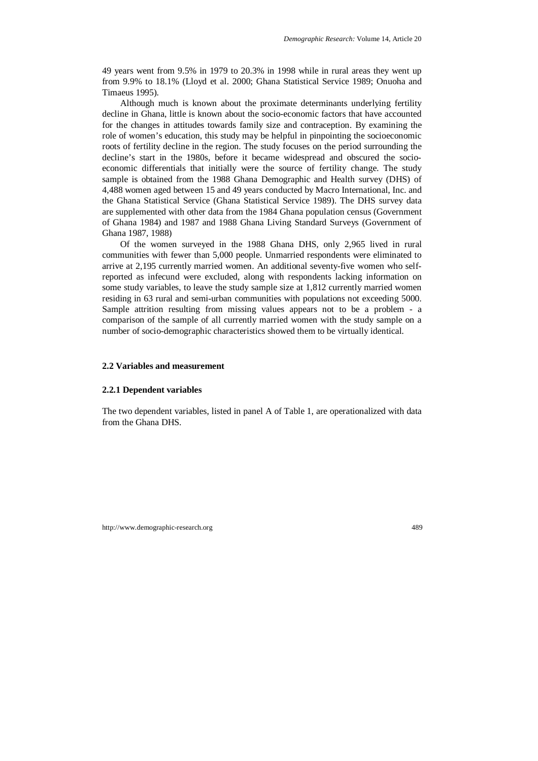49 years went from 9.5% in 1979 to 20.3% in 1998 while in rural areas they went up from 9.9% to 18.1% (Lloyd et al. 2000; Ghana Statistical Service 1989; Onuoha and Timaeus 1995).

Although much is known about the proximate determinants underlying fertility decline in Ghana, little is known about the socio-economic factors that have accounted for the changes in attitudes towards family size and contraception. By examining the role of women's education, this study may be helpful in pinpointing the socioeconomic roots of fertility decline in the region. The study focuses on the period surrounding the decline's start in the 1980s, before it became widespread and obscured the socioeconomic differentials that initially were the source of fertility change. The study sample is obtained from the 1988 Ghana Demographic and Health survey (DHS) of 4,488 women aged between 15 and 49 years conducted by Macro International, Inc. and the Ghana Statistical Service (Ghana Statistical Service 1989). The DHS survey data are supplemented with other data from the 1984 Ghana population census (Government of Ghana 1984) and 1987 and 1988 Ghana Living Standard Surveys (Government of Ghana 1987, 1988)

Of the women surveyed in the 1988 Ghana DHS, only 2,965 lived in rural communities with fewer than 5,000 people. Unmarried respondents were eliminated to arrive at 2,195 currently married women. An additional seventy-five women who selfreported as infecund were excluded, along with respondents lacking information on some study variables, to leave the study sample size at 1,812 currently married women residing in 63 rural and semi-urban communities with populations not exceeding 5000. Sample attrition resulting from missing values appears not to be a problem - a comparison of the sample of all currently married women with the study sample on a number of socio-demographic characteristics showed them to be virtually identical.

#### **2.2 Variables and measurement**

#### **2.2.1 Dependent variables**

The two dependent variables, listed in panel A of Table 1, are operationalized with data from the Ghana DHS.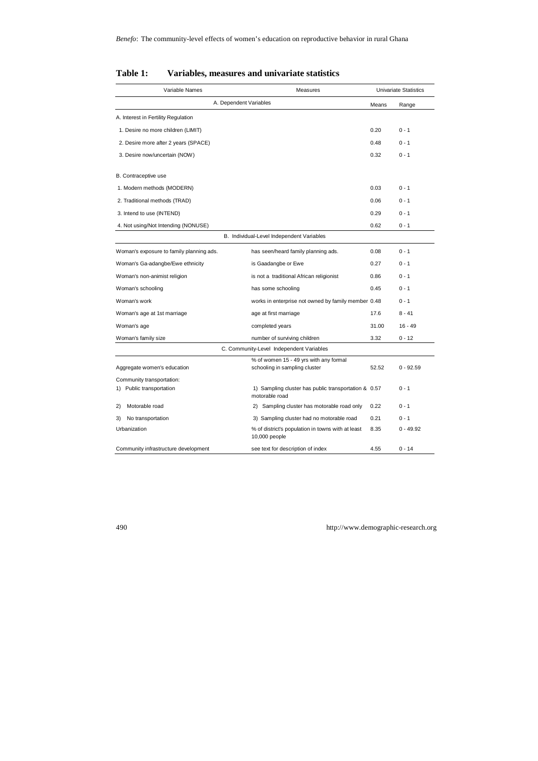| Variable Names                           | Measures                                                                |       | Univariate Statistics |
|------------------------------------------|-------------------------------------------------------------------------|-------|-----------------------|
|                                          | A. Dependent Variables                                                  | Means | Range                 |
| A. Interest in Fertility Regulation      |                                                                         |       |                       |
| 1. Desire no more children (LIMIT)       |                                                                         | 0.20  | $0 - 1$               |
| 2. Desire more after 2 years (SPACE)     |                                                                         | 0.48  | $0 - 1$               |
| 3. Desire now/uncertain (NOW)            |                                                                         | 0.32  | $0 - 1$               |
| B. Contraceptive use                     |                                                                         |       |                       |
| 1. Modern methods (MODERN)               |                                                                         | 0.03  | $0 - 1$               |
| 2. Traditional methods (TRAD)            |                                                                         | 0.06  | $0 - 1$               |
| 3. Intend to use (INTEND)                |                                                                         | 0.29  | $0 - 1$               |
| 4. Not using/Not Intending (NONUSE)      |                                                                         | 0.62  | $0 - 1$               |
|                                          | B. Individual-Level Independent Variables                               |       |                       |
| Woman's exposure to family planning ads. | has seen/heard family planning ads.                                     | 0.08  | $0 - 1$               |
| Woman's Ga-adangbe/Ewe ethnicity         | is Gaadangbe or Ewe                                                     | 0.27  | $0 - 1$               |
| Woman's non-animist religion             | is not a traditional African religionist                                | 0.86  | $0 - 1$               |
| Woman's schooling                        | has some schooling                                                      | 0.45  | $0 - 1$               |
| Woman's work                             | works in enterprise not owned by family member 0.48                     |       | $0 - 1$               |
| Woman's age at 1st marriage              | age at first marriage                                                   | 17.6  | $8 - 41$              |
| Woman's age                              | completed years                                                         | 31.00 | $16 - 49$             |
| Woman's family size                      | number of surviving children                                            | 3.32  | $0 - 12$              |
|                                          | C. Community-Level Independent Variables                                |       |                       |
| Aggregate women's education              | % of women 15 - 49 yrs with any formal<br>schooling in sampling cluster | 52.52 | $0 - 92.59$           |
| Community transportation:                |                                                                         |       |                       |
| 1) Public transportation                 | 1) Sampling cluster has public transportation & 0.57<br>motorable road  |       | $0 - 1$               |
| Motorable road<br>2)                     | 2) Sampling cluster has motorable road only                             | 0.22  | $0 - 1$               |
| No transportation<br>3)                  | 3) Sampling cluster had no motorable road                               | 0.21  | $0 - 1$               |
| Urbanization                             | % of district's population in towns with at least<br>10,000 people      | 8.35  | $0 - 49.92$           |
| Community infrastructure development     | see text for description of index                                       | 4.55  | $0 - 14$              |

## **Table 1: Variables, measures and univariate statistics**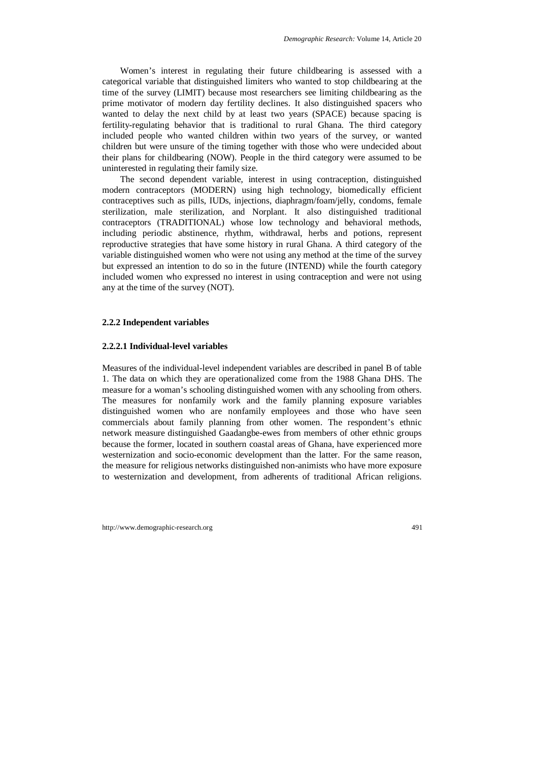Women's interest in regulating their future childbearing is assessed with a categorical variable that distinguished limiters who wanted to stop childbearing at the time of the survey (LIMIT) because most researchers see limiting childbearing as the prime motivator of modern day fertility declines. It also distinguished spacers who wanted to delay the next child by at least two years (SPACE) because spacing is fertility-regulating behavior that is traditional to rural Ghana. The third category included people who wanted children within two years of the survey, or wanted children but were unsure of the timing together with those who were undecided about their plans for childbearing (NOW). People in the third category were assumed to be uninterested in regulating their family size.

The second dependent variable, interest in using contraception, distinguished modern contraceptors (MODERN) using high technology, biomedically efficient contraceptives such as pills, IUDs, injections, diaphragm/foam/jelly, condoms, female sterilization, male sterilization, and Norplant. It also distinguished traditional contraceptors (TRADITIONAL) whose low technology and behavioral methods, including periodic abstinence, rhythm, withdrawal, herbs and potions, represent reproductive strategies that have some history in rural Ghana. A third category of the variable distinguished women who were not using any method at the time of the survey but expressed an intention to do so in the future (INTEND) while the fourth category included women who expressed no interest in using contraception and were not using any at the time of the survey (NOT).

#### **2.2.2 Independent variables**

#### **2.2.2.1 Individual-level variables**

Measures of the individual-level independent variables are described in panel B of table 1. The data on which they are operationalized come from the 1988 Ghana DHS. The measure for a woman's schooling distinguished women with any schooling from others. The measures for nonfamily work and the family planning exposure variables distinguished women who are nonfamily employees and those who have seen commercials about family planning from other women. The respondent's ethnic network measure distinguished Gaadangbe-ewes from members of other ethnic groups because the former, located in southern coastal areas of Ghana, have experienced more westernization and socio-economic development than the latter. For the same reason, the measure for religious networks distinguished non-animists who have more exposure to westernization and development, from adherents of traditional African religions.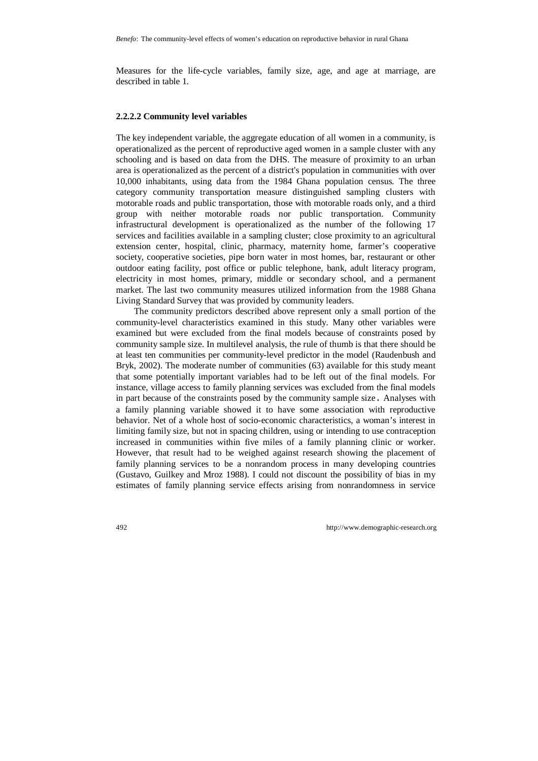Measures for the life-cycle variables, family size, age, and age at marriage, are described in table 1.

#### **2.2.2.2 Community level variables**

The key independent variable, the aggregate education of all women in a community, is operationalized as the percent of reproductive aged women in a sample cluster with any schooling and is based on data from the DHS. The measure of proximity to an urban area is operationalized as the percent of a district's population in communities with over 10,000 inhabitants, using data from the 1984 Ghana population census. The three category community transportation measure distinguished sampling clusters with motorable roads and public transportation, those with motorable roads only, and a third group with neither motorable roads nor public transportation. Community infrastructural development is operationalized as the number of the following 17 services and facilities available in a sampling cluster; close proximity to an agricultural extension center, hospital, clinic, pharmacy, maternity home, farmer's cooperative society, cooperative societies, pipe born water in most homes, bar, restaurant or other outdoor eating facility, post office or public telephone, bank, adult literacy program, electricity in most homes, primary, middle or secondary school, and a permanent market. The last two community measures utilized information from the 1988 Ghana Living Standard Survey that was provided by community leaders.

The community predictors described above represent only a small portion of the community-level characteristics examined in this study. Many other variables were examined but were excluded from the final models because of constraints posed by community sample size. In multilevel analysis, the rule of thumb is that there should be at least ten communities per community-level predictor in the model (Raudenbush and Bryk, 2002). The moderate number of communities (63) available for this study meant that some potentially important variables had to be left out of the final models. For instance, village access to family planning services was excluded from the final models in part because of the constraints posed by the community sample size. Analyses with a family planning variable showed it to have some association with reproductive behavior. Net of a whole host of socio-economic characteristics, a woman's interest in limiting family size, but not in spacing children, using or intending to use contraception increased in communities within five miles of a family planning clinic or worker. However, that result had to be weighed against research showing the placement of family planning services to be a nonrandom process in many developing countries (Gustavo, Guilkey and Mroz 1988). I could not discount the possibility of bias in my estimates of family planning service effects arising from nonrandomness in service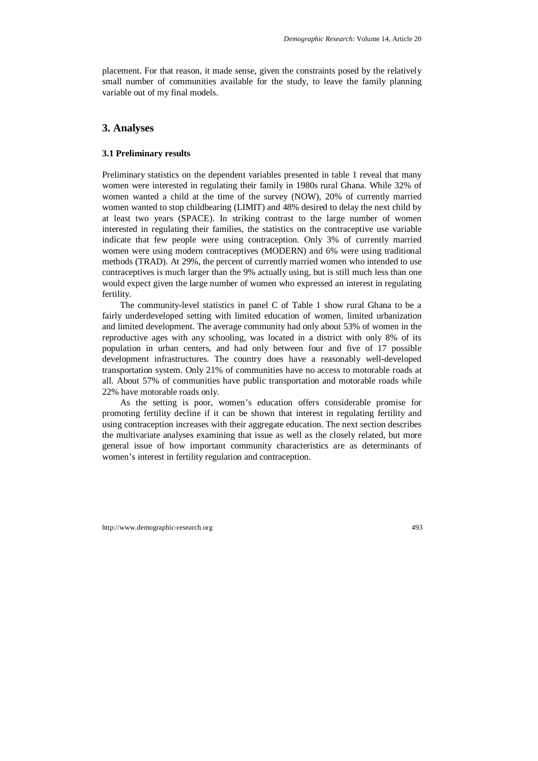placement. For that reason, it made sense, given the constraints posed by the relatively small number of communities available for the study, to leave the family planning variable out of my final models.

## **3. Analyses**

#### **3.1 Preliminary results**

Preliminary statistics on the dependent variables presented in table 1 reveal that many women were interested in regulating their family in 1980s rural Ghana. While 32% of women wanted a child at the time of the survey (NOW), 20% of currently married women wanted to stop childbearing (LIMIT) and 48% desired to delay the next child by at least two years (SPACE). In striking contrast to the large number of women interested in regulating their families, the statistics on the contraceptive use variable indicate that few people were using contraception. Only 3% of currently married women were using modern contraceptives (MODERN) and 6% were using traditional methods (TRAD). At 29%, the percent of currently married women who intended to use contraceptives is much larger than the 9% actually using, but is still much less than one would expect given the large number of women who expressed an interest in regulating fertility.

The community-level statistics in panel C of Table 1 show rural Ghana to be a fairly underdeveloped setting with limited education of women, limited urbanization and limited development. The average community had only about 53% of women in the reproductive ages with any schooling, was located in a district with only 8% of its population in urban centers, and had only between four and five of 17 possible development infrastructures. The country does have a reasonably well-developed transportation system. Only 21% of communities have no access to motorable roads at all. About 57% of communities have public transportation and motorable roads while 22% have motorable roads only.

As the setting is poor, women's education offers considerable promise for promoting fertility decline if it can be shown that interest in regulating fertility and using contraception increases with their aggregate education. The next section describes the multivariate analyses examining that issue as well as the closely related, but more general issue of how important community characteristics are as determinants of women's interest in fertility regulation and contraception.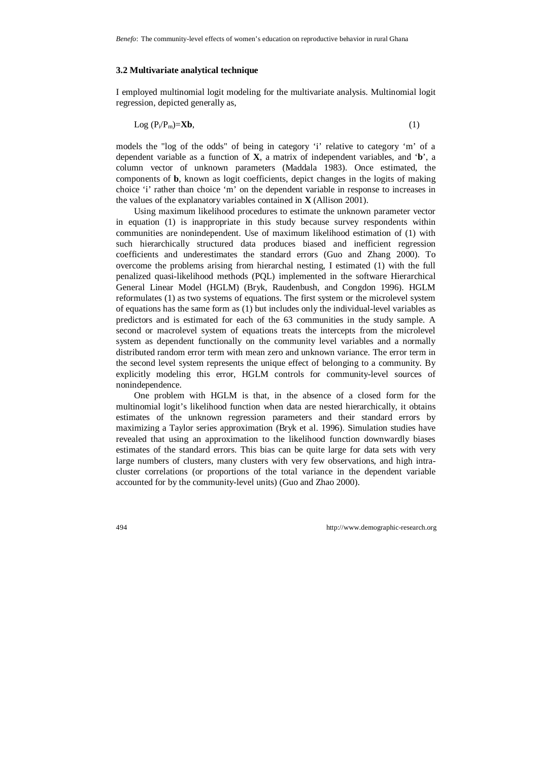#### **3.2 Multivariate analytical technique**

I employed multinomial logit modeling for the multivariate analysis. Multinomial logit regression, depicted generally as,

$$
Log (P_i/P_m)=Xb,
$$
 (1)

models the "log of the odds" of being in category 'i' relative to category 'm' of a dependent variable as a function of **X**, a matrix of independent variables, and '**b**', a column vector of unknown parameters (Maddala 1983). Once estimated, the components of **b**, known as logit coefficients, depict changes in the logits of making choice 'i' rather than choice 'm' on the dependent variable in response to increases in the values of the explanatory variables contained in **X** (Allison 2001).

Using maximum likelihood procedures to estimate the unknown parameter vector in equation (1) is inappropriate in this study because survey respondents within communities are nonindependent. Use of maximum likelihood estimation of (1) with such hierarchically structured data produces biased and inefficient regression coefficients and underestimates the standard errors (Guo and Zhang 2000). To overcome the problems arising from hierarchal nesting, I estimated (1) with the full penalized quasi-likelihood methods (PQL) implemented in the software Hierarchical General Linear Model (HGLM) (Bryk, Raudenbush, and Congdon 1996). HGLM reformulates (1) as two systems of equations. The first system or the microlevel system of equations has the same form as (1) but includes only the individual-level variables as predictors and is estimated for each of the 63 communities in the study sample. A second or macrolevel system of equations treats the intercepts from the microlevel system as dependent functionally on the community level variables and a normally distributed random error term with mean zero and unknown variance. The error term in the second level system represents the unique effect of belonging to a community. By explicitly modeling this error, HGLM controls for community-level sources of nonindependence.

One problem with HGLM is that, in the absence of a closed form for the multinomial logit's likelihood function when data are nested hierarchically, it obtains estimates of the unknown regression parameters and their standard errors by maximizing a Taylor series approximation (Bryk et al. 1996). Simulation studies have revealed that using an approximation to the likelihood function downwardly biases estimates of the standard errors. This bias can be quite large for data sets with very large numbers of clusters, many clusters with very few observations, and high intracluster correlations (or proportions of the total variance in the dependent variable accounted for by the community-level units) (Guo and Zhao 2000).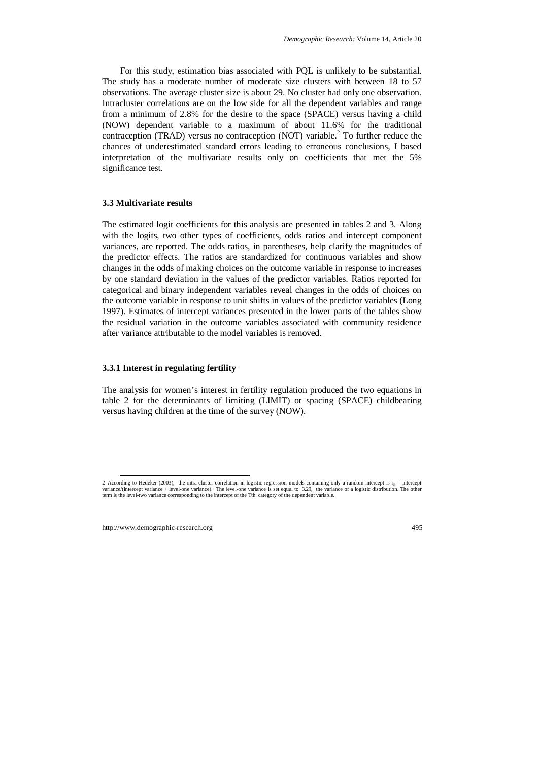For this study, estimation bias associated with PQL is unlikely to be substantial. The study has a moderate number of moderate size clusters with between 18 to 57 observations. The average cluster size is about 29. No cluster had only one observation. Intracluster correlations are on the low side for all the dependent variables and range from a minimum of 2.8% for the desire to the space (SPACE) versus having a child (NOW) dependent variable to a maximum of about 11.6% for the traditional contraception (TRAD) versus no contraception (NOT) variable.<sup>2</sup> To further reduce the chances of underestimated standard errors leading to erroneous conclusions, I based interpretation of the multivariate results only on coefficients that met the 5% significance test.

#### **3.3 Multivariate results**

The estimated logit coefficients for this analysis are presented in tables 2 and 3. Along with the logits, two other types of coefficients, odds ratios and intercept component variances, are reported. The odds ratios, in parentheses, help clarify the magnitudes of the predictor effects. The ratios are standardized for continuous variables and show changes in the odds of making choices on the outcome variable in response to increases by one standard deviation in the values of the predictor variables. Ratios reported for categorical and binary independent variables reveal changes in the odds of choices on the outcome variable in response to unit shifts in values of the predictor variables (Long 1997). Estimates of intercept variances presented in the lower parts of the tables show the residual variation in the outcome variables associated with community residence after variance attributable to the model variables is removed.

#### **3.3.1 Interest in regulating fertility**

The analysis for women's interest in fertility regulation produced the two equations in table 2 for the determinants of limiting (LIMIT) or spacing (SPACE) childbearing versus having children at the time of the survey (NOW).

<sup>2</sup> According to Hedeker (2003), the intra-cluster correlation in logistic regression models containing only a random intercept is  $r_{it}$  = intercept variance/(intercept variance + level-one variance). The level-one variance is set equal to 3.29, the variance of a logistic distribution. The other term is the level-two variance corresponding to the intercept of the Tth category of the dependent variable.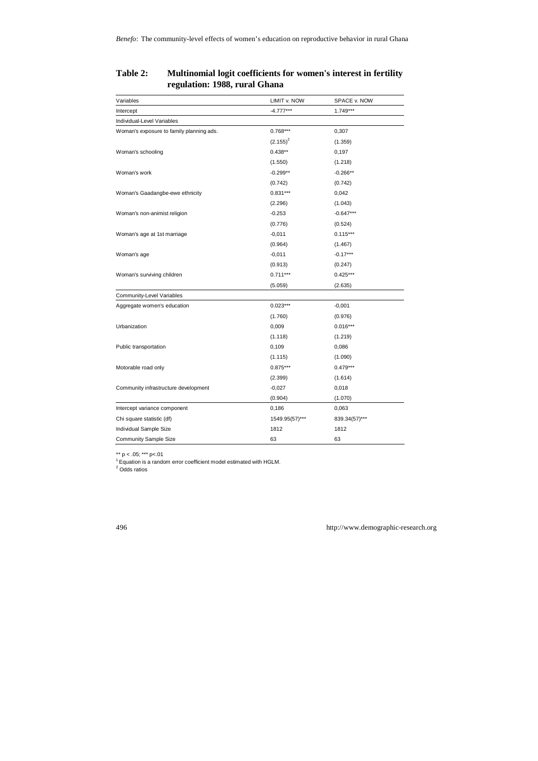| Variables                                | LIMIT v. NOW   | SPACE v. NOW  |
|------------------------------------------|----------------|---------------|
| Intercept                                | $-4.777***$    | 1.749***      |
| Individual-Level Variables               |                |               |
| Woman's exposure to family planning ads. | $0.768***$     | 0,307         |
|                                          | $(2.155)^2$    | (1.359)       |
| Woman's schooling                        | $0.438**$      | 0,197         |
|                                          | (1.550)        | (1.218)       |
| Woman's work                             | $-0.299**$     | $-0.266**$    |
|                                          | (0.742)        | (0.742)       |
| Woman's Gaadangbe-ewe ethnicity          | $0.831***$     | 0,042         |
|                                          | (2.296)        | (1.043)       |
| Woman's non-animist religion             | $-0.253$       | $-0.647***$   |
|                                          | (0.776)        | (0.524)       |
| Woman's age at 1st marriage              | $-0,011$       | $0.115***$    |
|                                          | (0.964)        | (1.467)       |
| Woman's age                              | $-0,011$       | $-0.17***$    |
|                                          | (0.913)        | (0.247)       |
| Woman's surviving children               | $0.711***$     | $0.425***$    |
|                                          | (5.059)        | (2.635)       |
| Community-Level Variables                |                |               |
| Aggregate women's education              | $0.023***$     | $-0,001$      |
|                                          | (1.760)        | (0.976)       |
| Urbanization                             | 0,009          | $0.016***$    |
|                                          | (1.118)        | (1.219)       |
| Public transportation                    | 0,109          | 0,086         |
|                                          | (1.115)        | (1.090)       |
| Motorable road only                      | $0.875***$     | $0.479***$    |
|                                          | (2.399)        | (1.614)       |
| Community infrastructure development     | $-0,027$       | 0,018         |
|                                          | (0.904)        | (1.070)       |
| Intercept variance component             | 0,186          | 0,063         |
| Chi square statistic (df)                | 1549.95(57)*** | 839.34(57)*** |
| Individual Sample Size                   | 1812           | 1812          |
| <b>Community Sample Size</b>             | 63             | 63            |

## **Table 2: Multinomial logit coefficients for women's interest in fertility regulation: 1988, rural Ghana**

\*\* p < .05; \*\*\* p<.01<br><sup>1</sup> Equation is a random error coefficient model estimated with HGLM.<br><sup>2</sup> Odds ratios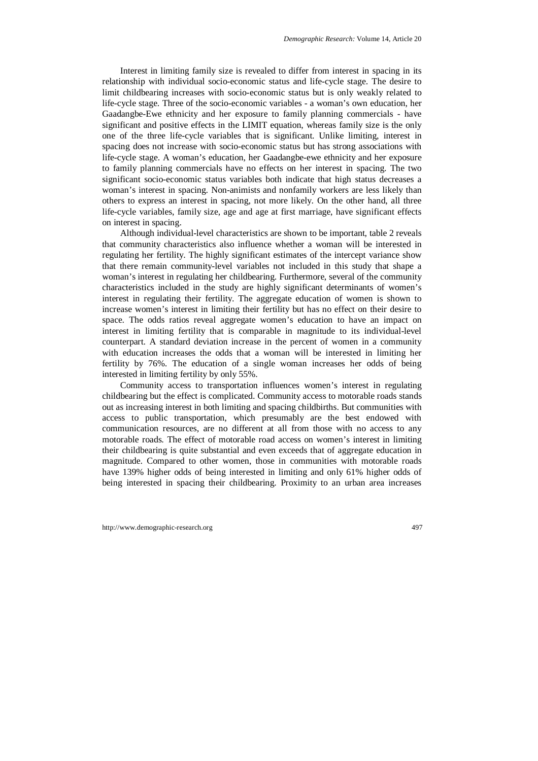Interest in limiting family size is revealed to differ from interest in spacing in its relationship with individual socio-economic status and life-cycle stage. The desire to limit childbearing increases with socio-economic status but is only weakly related to life-cycle stage. Three of the socio-economic variables - a woman's own education, her Gaadangbe-Ewe ethnicity and her exposure to family planning commercials - have significant and positive effects in the LIMIT equation, whereas family size is the only one of the three life-cycle variables that is significant. Unlike limiting, interest in spacing does not increase with socio-economic status but has strong associations with life-cycle stage. A woman's education, her Gaadangbe-ewe ethnicity and her exposure to family planning commercials have no effects on her interest in spacing. The two significant socio-economic status variables both indicate that high status decreases a woman's interest in spacing. Non-animists and nonfamily workers are less likely than others to express an interest in spacing, not more likely. On the other hand, all three life-cycle variables, family size, age and age at first marriage, have significant effects on interest in spacing.

Although individual-level characteristics are shown to be important, table 2 reveals that community characteristics also influence whether a woman will be interested in regulating her fertility. The highly significant estimates of the intercept variance show that there remain community-level variables not included in this study that shape a woman's interest in regulating her childbearing. Furthermore, several of the community characteristics included in the study are highly significant determinants of women's interest in regulating their fertility. The aggregate education of women is shown to increase women's interest in limiting their fertility but has no effect on their desire to space. The odds ratios reveal aggregate women's education to have an impact on interest in limiting fertility that is comparable in magnitude to its individual-level counterpart. A standard deviation increase in the percent of women in a community with education increases the odds that a woman will be interested in limiting her fertility by 76%. The education of a single woman increases her odds of being interested in limiting fertility by only 55%.

Community access to transportation influences women's interest in regulating childbearing but the effect is complicated. Community access to motorable roads stands out as increasing interest in both limiting and spacing childbirths. But communities with access to public transportation, which presumably are the best endowed with communication resources, are no different at all from those with no access to any motorable roads. The effect of motorable road access on women's interest in limiting their childbearing is quite substantial and even exceeds that of aggregate education in magnitude. Compared to other women, those in communities with motorable roads have 139% higher odds of being interested in limiting and only 61% higher odds of being interested in spacing their childbearing. Proximity to an urban area increases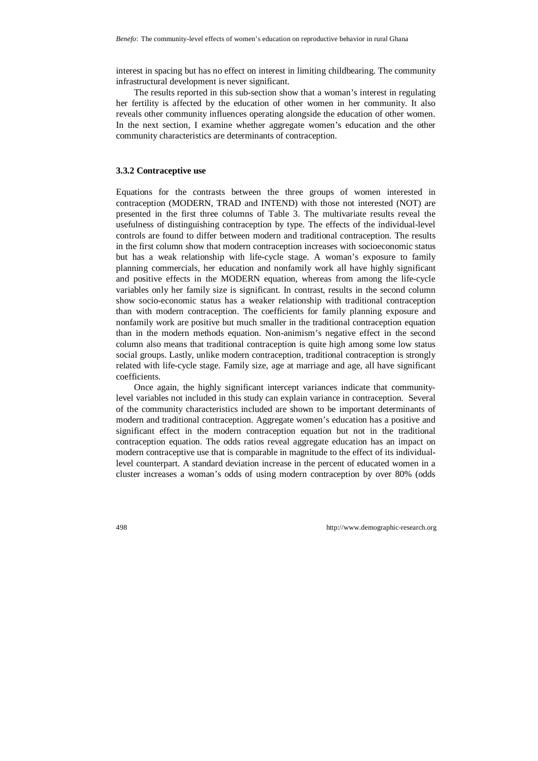interest in spacing but has no effect on interest in limiting childbearing. The community infrastructural development is never significant.

The results reported in this sub-section show that a woman's interest in regulating her fertility is affected by the education of other women in her community. It also reveals other community influences operating alongside the education of other women. In the next section, I examine whether aggregate women's education and the other community characteristics are determinants of contraception.

#### **3.3.2 Contraceptive use**

Equations for the contrasts between the three groups of women interested in contraception (MODERN, TRAD and INTEND) with those not interested (NOT) are presented in the first three columns of Table 3. The multivariate results reveal the usefulness of distinguishing contraception by type. The effects of the individual-level controls are found to differ between modern and traditional contraception. The results in the first column show that modern contraception increases with socioeconomic status but has a weak relationship with life-cycle stage. A woman's exposure to family planning commercials, her education and nonfamily work all have highly significant and positive effects in the MODERN equation, whereas from among the life-cycle variables only her family size is significant. In contrast, results in the second column show socio-economic status has a weaker relationship with traditional contraception than with modern contraception. The coefficients for family planning exposure and nonfamily work are positive but much smaller in the traditional contraception equation than in the modern methods equation. Non-animism's negative effect in the second column also means that traditional contraception is quite high among some low status social groups. Lastly, unlike modern contraception, traditional contraception is strongly related with life-cycle stage. Family size, age at marriage and age, all have significant coefficients.

Once again, the highly significant intercept variances indicate that communitylevel variables not included in this study can explain variance in contraception. Several of the community characteristics included are shown to be important determinants of modern and traditional contraception. Aggregate women's education has a positive and significant effect in the modern contraception equation but not in the traditional contraception equation. The odds ratios reveal aggregate education has an impact on modern contraceptive use that is comparable in magnitude to the effect of its individuallevel counterpart. A standard deviation increase in the percent of educated women in a cluster increases a woman's odds of using modern contraception by over 80% (odds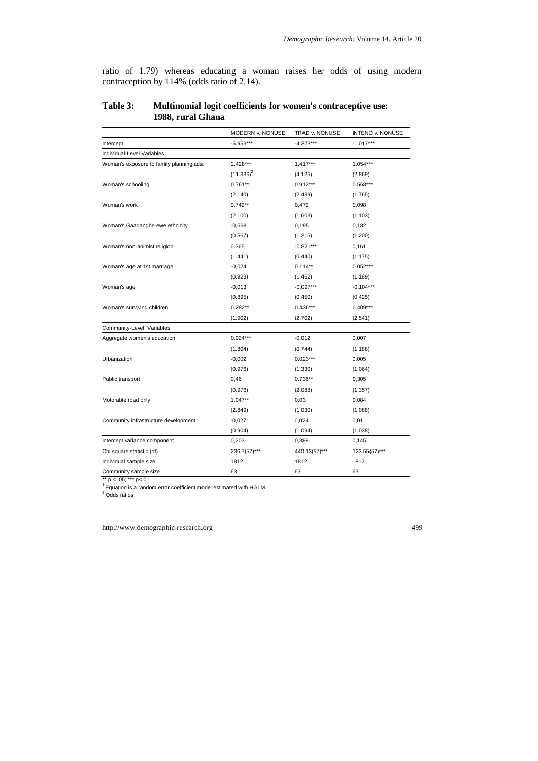ratio of 1.79) whereas educating a woman raises her odds of using modern contraception by 114% (odds ratio of 2.14).

|                                          | MODERN v. NONUSE | TRAD v. NONUSE | <b>INTEND v. NONUSE</b> |
|------------------------------------------|------------------|----------------|-------------------------|
| Intercept                                | $-5.953***$      | -4.373***      | $-1.017***$             |
| Individual-Level Variables               |                  |                |                         |
| Woman's exposure to family planning ads. | 2.428***         | $1.417***$     | 1.054***                |
|                                          | $(11.336)^2$     | (4.125)        | (2.869)                 |
| Woman's schooling                        | $0.761**$        | $0.912***$     | $0.568***$              |
|                                          | (2.140)          | (2.489)        | (1.765)                 |
| Woman's work                             | $0.742**$        | 0,472          | 0,098                   |
|                                          | (2.100)          | (1.603)        | (1.103)                 |
| Woman's Gaadangbe-ewe ethnicity          | $-0,568$         | 0,195          | 0,182                   |
|                                          | (0.567)          | (1.215)        | (1.200)                 |
| Woman's non-animist religion             | 0.365            | $-0.821***$    | 0,161                   |
|                                          | (1.441)          | (0.440)        | (1.175)                 |
| Woman's age at 1st marriage              | $-0,024$         | $0.114**$      | $0.052***$              |
|                                          | (0.923)          | (1.462)        | (1.189)                 |
| Woman's age                              | $-0,013$         | $-0.097***$    | $-0.104***$             |
|                                          | (0.895)          | (0.450)        | (0.425)                 |
| Woman's surviving children               | $0.282**$        | $0.436***$     | $0.409***$              |
|                                          | (1.902)          | (2.702)        | (2.541)                 |
| Community-Level Variables                |                  |                |                         |
| Aggregate women's education              | $0.024***$       | $-0,012$       | 0,007                   |
|                                          | (1.804)          | (0.744)        | (1.188)                 |
| Urbanization                             | $-0,002$         | $0.023***$     | 0,005                   |
|                                          | (0.976)          | (1.330)        | (1.064)                 |
| Public transport                         | 0,46             | $0.736**$      | 0,305                   |
|                                          | (0.976)          | (2.088)        | (1.357)                 |
| Motorable road only                      | $1.047**$        | 0,03           | 0,084                   |
|                                          | (2.849)          | (1.030)        | (1.088)                 |
| Community infrastructure development     | $-0,027$         | 0,024          | 0,01                    |
|                                          | (0.904)          | (1.094)        | (1.038)                 |
| Intercept variance component             | 0,203            | 0,389          | 0,145                   |
| Chi square statistic (df)                | $236.7(57)$ ***  | 440.13(57)***  | 123.55(57)***           |
| Individual sample size                   | 1812             | 1812           | 1812                    |
| Community sample size                    | 63               | 63             | 63                      |

## **Table 3: Multinomial logit coefficients for women's contraceptive use: 1988, rural Ghana**

\*\* p < .05; \*\*\* p<.01 1 Equation is a random error coefficient model estimated with HGLM.

<sup>2</sup> Odds ratios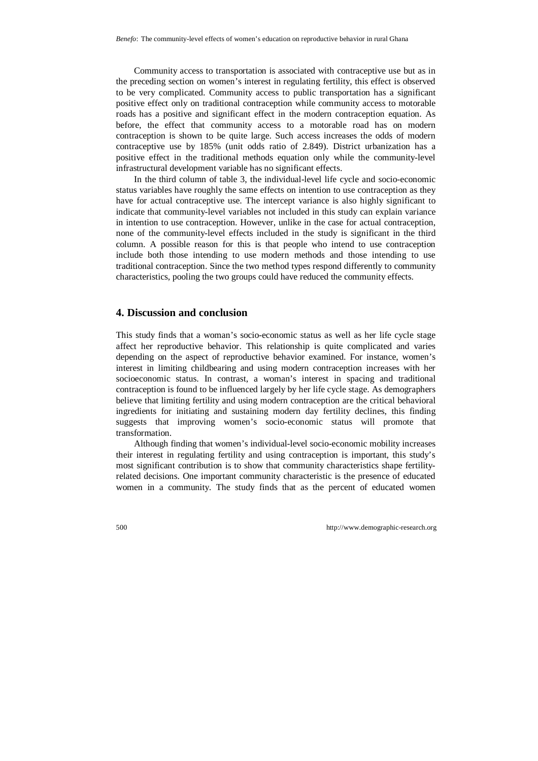Community access to transportation is associated with contraceptive use but as in the preceding section on women's interest in regulating fertility, this effect is observed to be very complicated. Community access to public transportation has a significant positive effect only on traditional contraception while community access to motorable roads has a positive and significant effect in the modern contraception equation. As before, the effect that community access to a motorable road has on modern contraception is shown to be quite large. Such access increases the odds of modern contraceptive use by 185% (unit odds ratio of 2.849). District urbanization has a positive effect in the traditional methods equation only while the community-level infrastructural development variable has no significant effects.

In the third column of table 3, the individual-level life cycle and socio-economic status variables have roughly the same effects on intention to use contraception as they have for actual contraceptive use. The intercept variance is also highly significant to indicate that community-level variables not included in this study can explain variance in intention to use contraception. However, unlike in the case for actual contraception, none of the community-level effects included in the study is significant in the third column. A possible reason for this is that people who intend to use contraception include both those intending to use modern methods and those intending to use traditional contraception. Since the two method types respond differently to community characteristics, pooling the two groups could have reduced the community effects.

#### **4. Discussion and conclusion**

This study finds that a woman's socio-economic status as well as her life cycle stage affect her reproductive behavior. This relationship is quite complicated and varies depending on the aspect of reproductive behavior examined. For instance, women's interest in limiting childbearing and using modern contraception increases with her socioeconomic status. In contrast, a woman's interest in spacing and traditional contraception is found to be influenced largely by her life cycle stage. As demographers believe that limiting fertility and using modern contraception are the critical behavioral ingredients for initiating and sustaining modern day fertility declines, this finding suggests that improving women's socio-economic status will promote that transformation.

Although finding that women's individual-level socio-economic mobility increases their interest in regulating fertility and using contraception is important, this study's most significant contribution is to show that community characteristics shape fertilityrelated decisions. One important community characteristic is the presence of educated women in a community. The study finds that as the percent of educated women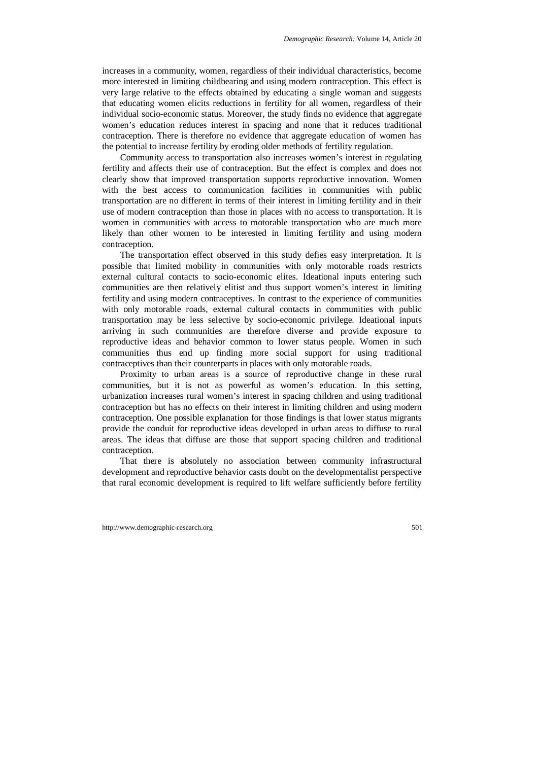increases in a community, women, regardless of their individual characteristics, become more interested in limiting childbearing and using modern contraception. This effect is very large relative to the effects obtained by educating a single woman and suggests that educating women elicits reductions in fertility for all women, regardless of their individual socio-economic status. Moreover, the study finds no evidence that aggregate women's education reduces interest in spacing and none that it reduces traditional contraception. There is therefore no evidence that aggregate education of women has the potential to increase fertility by eroding older methods of fertility regulation.

Community access to transportation also increases women's interest in regulating fertility and affects their use of contraception. But the effect is complex and does not clearly show that improved transportation supports reproductive innovation. Women with the best access to communication facilities in communities with public transportation are no different in terms of their interest in limiting fertility and in their use of modern contraception than those in places with no access to transportation. It is women in communities with access to motorable transportation who are much more likely than other women to be interested in limiting fertility and using modern contraception.

The transportation effect observed in this study defies easy interpretation. It is possible that limited mobility in communities with only motorable roads restricts external cultural contacts to socio-economic elites. Ideational inputs entering such communities are then relatively elitist and thus support women's interest in limiting fertility and using modern contraceptives. In contrast to the experience of communities with only motorable roads, external cultural contacts in communities with public transportation may be less selective by socio-economic privilege. Ideational inputs arriving in such communities are therefore diverse and provide exposure to reproductive ideas and behavior common to lower status people. Women in such communities thus end up finding more social support for using traditional contraceptives than their counterparts in places with only motorable roads.

Proximity to urban areas is a source of reproductive change in these rural communities, but it is not as powerful as women's education. In this setting, urbanization increases rural women's interest in spacing children and using traditional contraception but has no effects on their interest in limiting children and using modern contraception. One possible explanation for those findings is that lower status migrants provide the conduit for reproductive ideas developed in urban areas to diffuse to rural areas. The ideas that diffuse are those that support spacing children and traditional contraception.

That there is absolutely no association between community infrastructural development and reproductive behavior casts doubt on the developmentalist perspective that rural economic development is required to lift welfare sufficiently before fertility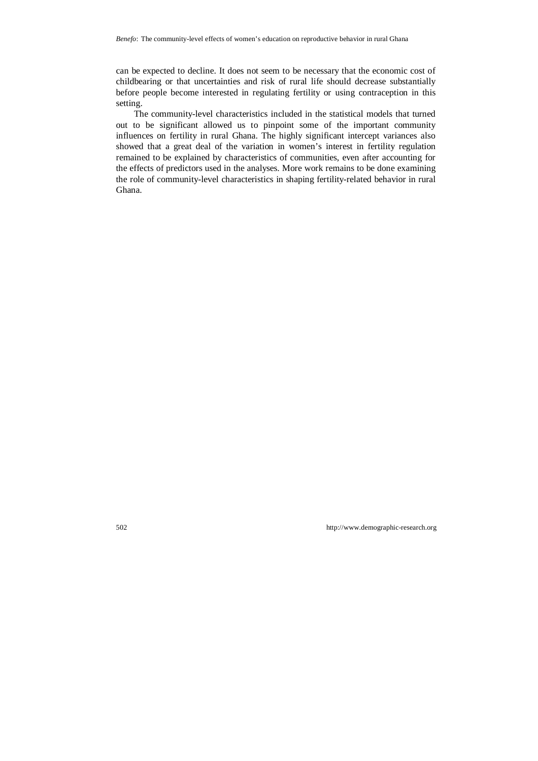can be expected to decline. It does not seem to be necessary that the economic cost of childbearing or that uncertainties and risk of rural life should decrease substantially before people become interested in regulating fertility or using contraception in this setting.

The community-level characteristics included in the statistical models that turned out to be significant allowed us to pinpoint some of the important community influences on fertility in rural Ghana. The highly significant intercept variances also showed that a great deal of the variation in women's interest in fertility regulation remained to be explained by characteristics of communities, even after accounting for the effects of predictors used in the analyses. More work remains to be done examining the role of community-level characteristics in shaping fertility-related behavior in rural Ghana.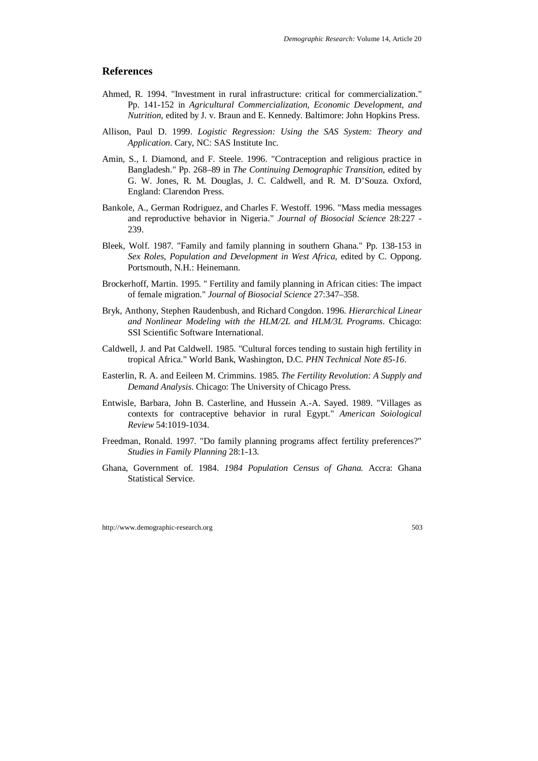## **References**

- Ahmed, R. 1994. "Investment in rural infrastructure: critical for commercialization." Pp. 141-152 in *Agricultural Commercialization, Economic Development, and Nutrition*, edited by J. v. Braun and E. Kennedy. Baltimore: John Hopkins Press.
- Allison, Paul D. 1999. *Logistic Regression: Using the SAS System: Theory and Application*. Cary, NC: SAS Institute Inc.
- Amin, S., I. Diamond, and F. Steele. 1996. "Contraception and religious practice in Bangladesh." Pp. 268–89 in *The Continuing Demographic Transition*, edited by G. W. Jones, R. M. Douglas, J. C. Caldwell, and R. M. D'Souza. Oxford, England: Clarendon Press.
- Bankole, A., German Rodriguez, and Charles F. Westoff. 1996. "Mass media messages and reproductive behavior in Nigeria." *Journal of Biosocial Science* 28:227 - 239.
- Bleek, Wolf. 1987. "Family and family planning in southern Ghana." Pp. 138-153 in *Sex Roles, Population and Development in West Africa*, edited by C. Oppong. Portsmouth, N.H.: Heinemann.
- Brockerhoff, Martin. 1995. " Fertility and family planning in African cities: The impact of female migration." *Journal of Biosocial Science* 27:347–358.
- Bryk, Anthony, Stephen Raudenbush, and Richard Congdon. 1996. *Hierarchical Linear and Nonlinear Modeling with the HLM/2L and HLM/3L Programs*. Chicago: SSI Scientific Software International.
- Caldwell, J. and Pat Caldwell. 1985. "Cultural forces tending to sustain high fertility in tropical Africa." World Bank, Washington, D.C. *PHN Technical Note 85-16*.
- Easterlin, R. A. and Eeileen M. Crimmins. 1985. *The Fertility Revolution: A Supply and Demand Analysis*. Chicago: The University of Chicago Press.
- Entwisle, Barbara, John B. Casterline, and Hussein A.-A. Sayed. 1989. "Villages as contexts for contraceptive behavior in rural Egypt." *American Soiological Review* 54:1019-1034.
- Freedman, Ronald. 1997. "Do family planning programs affect fertility preferences?" *Studies in Family Planning* 28:1-13.
- Ghana, Government of. 1984. *1984 Population Census of Ghana.* Accra: Ghana Statistical Service.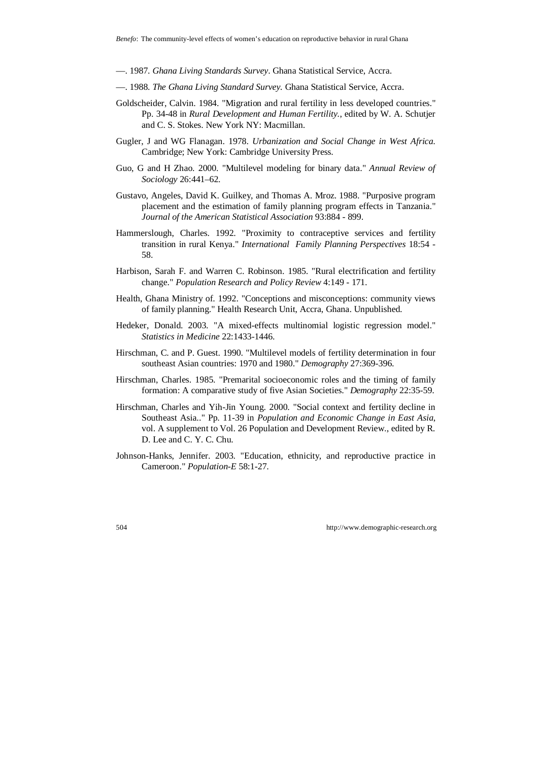- —. 1987. *Ghana Living Standards Survey*. Ghana Statistical Service, Accra.
- —. 1988. *The Ghana Living Standard Survey.* Ghana Statistical Service, Accra.
- Goldscheider, Calvin. 1984. "Migration and rural fertility in less developed countries." Pp. 34-48 in *Rural Development and Human Fertility.*, edited by W. A. Schutjer and C. S. Stokes. New York NY: Macmillan.
- Gugler, J and WG Flanagan. 1978. *Urbanization and Social Change in West Africa*. Cambridge; New York: Cambridge University Press.
- Guo, G and H Zhao. 2000. "Multilevel modeling for binary data." *Annual Review of Sociology* 26:441–62.
- Gustavo, Angeles, David K. Guilkey, and Thomas A. Mroz. 1988. "Purposive program placement and the estimation of family planning program effects in Tanzania." *Journal of the American Statistical Association* 93:884 - 899.
- Hammerslough, Charles. 1992. "Proximity to contraceptive services and fertility transition in rural Kenya." *International Family Planning Perspectives* 18:54 - 58.
- Harbison, Sarah F. and Warren C. Robinson. 1985. "Rural electrification and fertility change." *Population Research and Policy Review* 4:149 - 171.
- Health, Ghana Ministry of. 1992. "Conceptions and misconceptions: community views of family planning." Health Research Unit, Accra, Ghana. Unpublished.
- Hedeker, Donald. 2003. "A mixed-effects multinomial logistic regression model." *Statistics in Medicine* 22:1433-1446.
- Hirschman, C. and P. Guest. 1990. "Multilevel models of fertility determination in four southeast Asian countries: 1970 and 1980." *Demography* 27:369-396.
- Hirschman, Charles. 1985. "Premarital socioeconomic roles and the timing of family formation: A comparative study of five Asian Societies." *Demography* 22:35-59.
- Hirschman, Charles and Yih-Jin Young. 2000. "Social context and fertility decline in Southeast Asia.." Pp. 11-39 in *Population and Economic Change in East Asia*, vol. A supplement to Vol. 26 Population and Development Review., edited by R. D. Lee and C. Y. C. Chu.
- Johnson-Hanks, Jennifer. 2003. "Education, ethnicity, and reproductive practice in Cameroon." *Population-E* 58:1-27.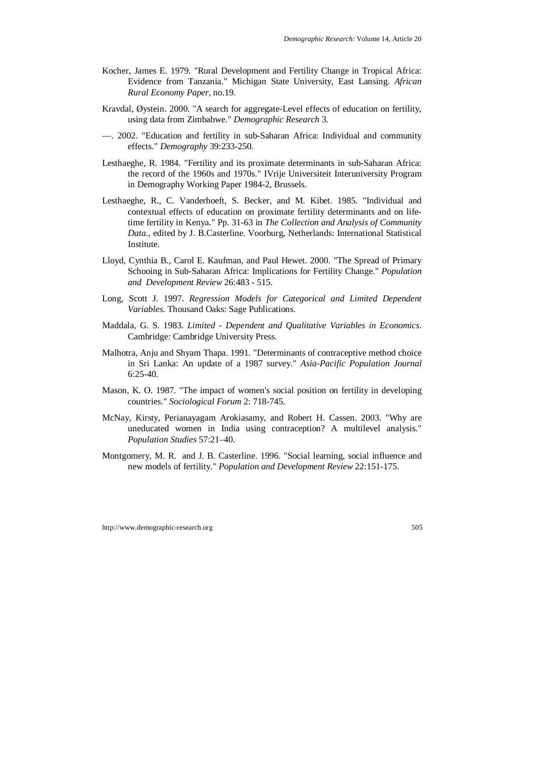- Kocher, James E. 1979. "Rural Development and Fertility Change in Tropical Africa: Evidence from Tanzania." Michigan State University, East Lansing. *African Rural Economy Paper*, no.19.
- Kravdal, Øystein. 2000. "A search for aggregate-Level effects of education on fertility, using data from Zimbabwe." *Demographic Research* 3.
- —. 2002. "Education and fertility in sub-Saharan Africa: Individual and community effects." *Demography* 39:233-250.
- Lesthaeghe, R. 1984. "Fertility and its proximate determinants in sub-Saharan Africa: the record of the 1960s and 1970s." IVrije Universiteit Interuniversity Program in Demography Working Paper 1984-2, Brussels.
- Lesthaeghe, R., C. Vanderhoeft, S. Becker, and M. Kibet. 1985. "Individual and contextual effects of education on proximate fertility determinants and on lifetime fertility in Kenya." Pp. 31-63 in *The Collection and Analysis of Community Data.*, edited by J. B.Casterline. Voorburg, Netherlands: International Statistical Institute.
- Lloyd, Cynthia B., Carol E. Kaufman, and Paul Hewet. 2000. "The Spread of Primary Schooing in Sub-Saharan Africa: Implications for Fertility Change." *Population and Development Review* 26:483 - 515.
- Long, Scott J. 1997. *Regression Models for Categorical and Limited Dependent Variables*. Thousand Oaks: Sage Publications.
- Maddala, G. S. 1983. *Limited Dependent and Qualitative Variables in Economics*. Cambridge: Cambridge University Press.
- Malhotra, Anju and Shyam Thapa. 1991. "Determinants of contraceptive method choice in Sri Lanka: An update of a 1987 survey." *Asia-Pacific Population Journal* 6:25-40.
- Mason, K. O. 1987. "The impact of women's social position on fertility in developing countries." *Sociological Forum* 2: 718-745.
- McNay, Kirsty, Perianayagam Arokiasamy, and Robert H. Cassen. 2003. "Why are uneducated women in India using contraception? A multilevel analysis." *Population Studies* 57:21–40.
- Montgomery, M. R. and J. B. Casterline. 1996. "Social learning, social influence and new models of fertility." *Population and Development Review* 22:151-175.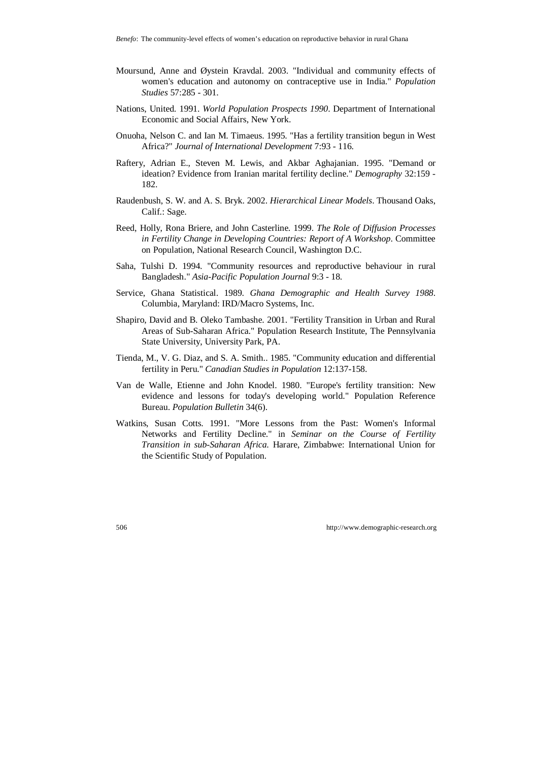- Moursund, Anne and Øystein Kravdal. 2003. "Individual and community effects of women's education and autonomy on contraceptive use in India." *Population Studies* 57:285 - 301.
- Nations, United. 1991. *World Population Prospects 1990*. Department of International Economic and Social Affairs, New York.
- Onuoha, Nelson C. and Ian M. Timaeus. 1995. "Has a fertility transition begun in West Africa?" *Journal of International Development* 7:93 - 116.
- Raftery, Adrian E., Steven M. Lewis, and Akbar Aghajanian. 1995. "Demand or ideation? Evidence from Iranian marital fertility decline." *Demography* 32:159 - 182.
- Raudenbush, S. W. and A. S. Bryk. 2002. *Hierarchical Linear Models*. Thousand Oaks, Calif.: Sage.
- Reed, Holly, Rona Briere, and John Casterline. 1999. *The Role of Diffusion Processes in Fertility Change in Developing Countries: Report of A Workshop*. Committee on Population, National Research Council, Washington D.C.
- Saha, Tulshi D. 1994. "Community resources and reproductive behaviour in rural Bangladesh." *Asia-Pacific Population Journal* 9:3 - 18.
- Service, Ghana Statistical. 1989. *Ghana Demographic and Health Survey 1988*. Columbia, Maryland: IRD/Macro Systems, Inc.
- Shapiro, David and B. Oleko Tambashe. 2001. "Fertility Transition in Urban and Rural Areas of Sub-Saharan Africa." Population Research Institute, The Pennsylvania State University, University Park, PA.
- Tienda, M., V. G. Diaz, and S. A. Smith.. 1985. "Community education and differential fertility in Peru." *Canadian Studies in Population* 12:137-158.
- Van de Walle, Etienne and John Knodel. 1980. "Europe's fertility transition: New evidence and lessons for today's developing world." Population Reference Bureau. *Population Bulletin* 34(6).
- Watkins, Susan Cotts. 1991. "More Lessons from the Past: Women's Informal Networks and Fertility Decline." in *Seminar on the Course of Fertility Transition in sub-Saharan Africa*. Harare, Zimbabwe: International Union for the Scientific Study of Population.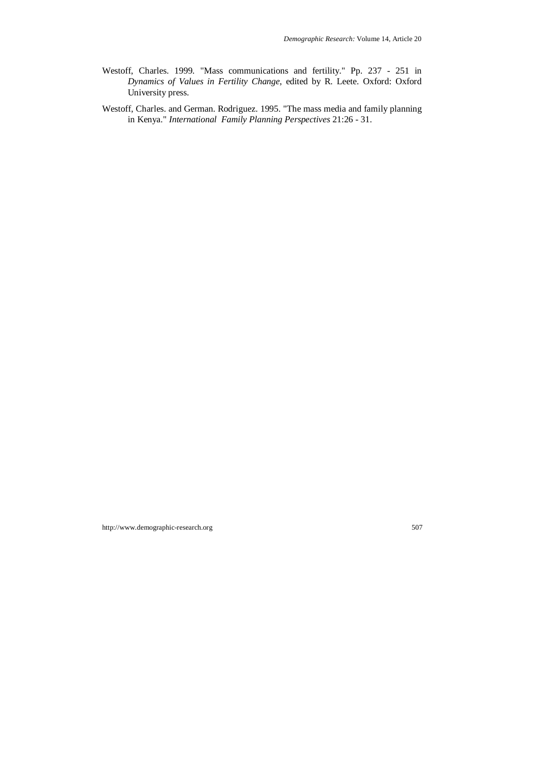- Westoff, Charles. 1999. "Mass communications and fertility." Pp. 237 251 in *Dynamics of Values in Fertility Change*, edited by R. Leete. Oxford: Oxford University press.
- Westoff, Charles. and German. Rodriguez. 1995. "The mass media and family planning in Kenya." *International Family Planning Perspectives* 21:26 - 31.